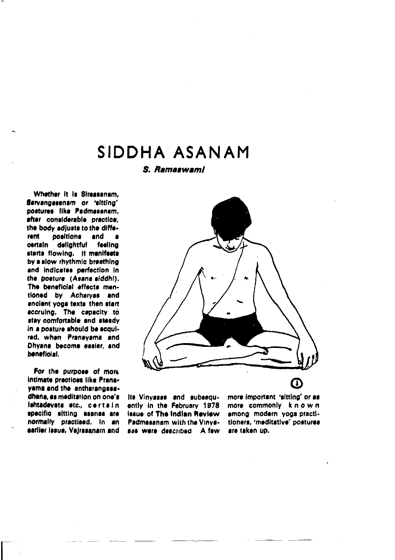# SIDDHA ASANAM

S. Ramaswami

Whether it is Sireasanam. Sarvangasenam or 'sitting' postures like Padmasanam. after considerable practice. the body adjusts to the diffepositions rent and  $\blacksquare$ deliahtful certain feeling starts flowing. It menifests by a slow rhythmic breathing and indicates perfection in the bosture (Asana siddhi). The beneficial affects mentioned by Acharyas and ancient yoge texts then start accruing. The capacity to stay comfortable and steady in a posture should be acquired, when Pranayama and Dhyana become easier, and beneficial.

For the purpose of more intimate practices like Pranayama and the antharangasadhana, as meditation on one's lshtadevata etc., certain specific sitting assnes are normally practised. In an earlier issue, Vajrasanam and



its Vinyasas and subsequently in the February 1978 issue of The Indian Review Padmasanam with the Vinyasas were described A few more important 'sitting' or as more commonly known among modern yoga practitioners, 'meditative' postures are taken up.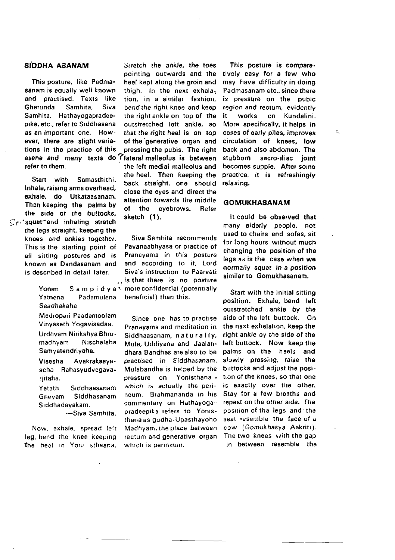## SÍDDHA ASANAM

This posture. like Padmasanam is equally well known and practised. Texts like Gherunda Samhita. Siva Samhita. Hathavogapradeepika, etc., refer to Siddhasana as an important one. However, there are slight variations in the practice of this asana and many texts do lateral malleolus is between refer to them.

Start with Samasthithi. Inhale, raising arms overhead. exhale, do Utkataasanam. Then keeping the palms by the side of the buttocks. Creasuat and inhaling stratch the leas straight, keeping the knees and ankles together. This is the starting point of all sitting postures and is known as Dandasanam and is described in detail later.

> Yonim Yatnena Padamulena Saadhakaha

Medropari Paadamoolam Vinvaseth Yogavisadaa. Urdhvam Nirikshya Bhrumadhvam Nischalaha Samyatendriyaha.

Visesha Avakrakaavascha Rahasyudvegavariitaha.

Yetath Siddhaseanam Gnevam Siddhasanam Siddhadayakam.

-Siva Samhita.

Now, exhale, spread left leg, bend the knee keeping the heel in Yoni sthaana.

Suetch the ankle, the toes pointing outwards and the heel kept along the groin and thigh. In the next exhalation, in a similar fashion. bend the right knee and keep the right ankle on top of the outstretched left ankle, so that the right heel is on top of the generative organ and pressing the pubis. The right the left medial mallenuss and the heel. Then keeping the back straight, one should close the eves and direct the attention towards the middle of the evebrows. Refer sketch (1).

Siva Samhita recommends Pavanaabhyasa or practice of Pranayama in this posture and according to it, Lord Siva's instruction to Paarvati is that there is no posture S a m  $p$  i d v a  $\leq$  more confidential (potentially beneficial) than this.

> Since one has to practise Pranavama and meditation in Siddhaasanam, naturally, Mula, Uddivana and Jaalandhara Bandhas are also to be practised in Siddhasanam. Mulabandha is helped by the pressure on Yonisthana which is actually the perineum. Brahmananda in his commentary on Hathavogapradeepika refers to Yomsthana as qudha-Upasthayoho Madhyam, the place between rectum and generative organ which is perineum.

This posture is comparatively easy for a few who may have difficulty in doing Padmasanam etc., since there is pressure on the pubic region and rectum, evidently on Kundalini. it. works More specifically, it helps in cases of early piles, improves circulation of knees. low back and also abdomen. The stubborn sacro-iliac joint becomes supple. After some practice, it is refreshingly relaxing.

۰

#### **GOMUKHASANAM**

It could be observed that many elderly people, not used to chairs and sofas, sit for long hours, without much changing the position of the legs as is the case when we normally squat in a position similar to Gomukhasanam.

Start with the initial sitting position. Exhale, bend left outstretched ankle by the side of the left buttock. On the next exhalation, keep the right ankle by the side of the left buttock. Now keep the palms on the heels and slowly pressing, raise the buttocks and adjust the position of the knees, so that one is exactly over the other. Stay for a few breaths and repeat on tha other side. The position of the legs and the seat resemble the face of a cow (Gomukhasya Aakriti). The two knees with the gap in between resemble the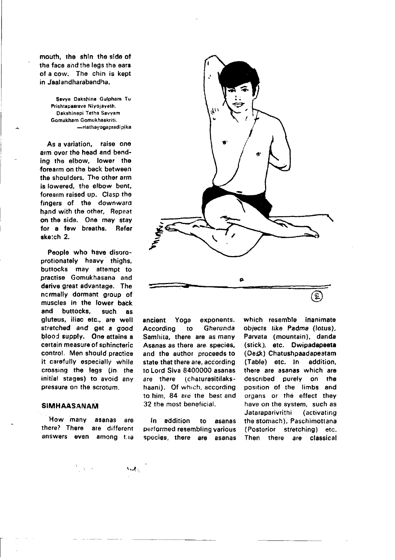mouth, the shin the side of the face and the leds the ears of a cow. The chin is kept in Jaalandharabandha.

> Savve Dakshina Gulpham Tu Prishtapaarsve Niyojaveth. Dakshinepi Tatha Savvam Gomukham Gomukhaakriti. -Hathavogapradipika

As a variation, raise one arm over the head and bending the elbow. lower the forearm on the back between the shoulders. The other arm is lowered, the elbow bent, forearm raised up. Clasp the fingers of the downward hand with the other. Repeat on the side. One may stay for a few breaths. Refer sketch 2.

People who have disoroprotionately heavy thighs, buttocks may attempt to practise Gomukhasana and derive great advantage. The normally dormant group of muscles in the lower back and buttocks. such as aluteus, iliac etc., are well stretched and get a good blood supply. One attains a certain measure of sphincteric control. Men should practice it carefully especially while crossing the leas (in the initial stages) to avoid any pressure on the scrotum.

#### **SIMHAASANAM**

How many asanas are there? There are different answers even among the

 $\sim 3-100$ 

Audio



ancient Yoga exponents. Accordina to Gherunda Samhita, there are as many Asanas as there are species. and the author proceeds to state that there are, according to Lord Siva 8400000 asanas are there (chaturasitilakshaani). Of which, according to him. 84 are the best and 32 the most beneficial.

In addition to asanas performed resembling various species, there are asanas which resemble inanimate objects like Padma (lotus), Parvata (mountain), danda (stick), etc. Dwipadapeeta (Desk) Chatushpaadapeetam (Table) etc. In addition. there are asanas which are described purely on the position of the limbs and organs or the effect they have on the system. such as Jataraparivrithi *(activating* the stomach), Paschimottana (Posterior stretching) etc. Then there are classical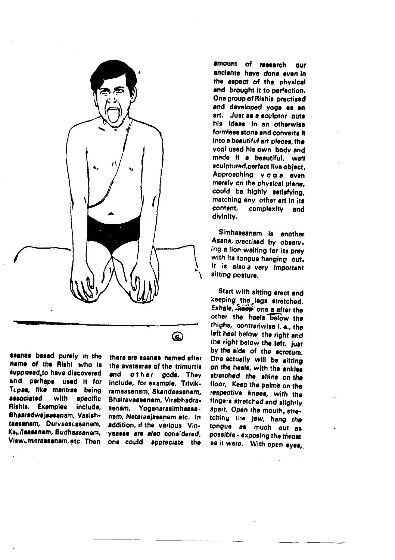

asanas based purely in the name of the Rishi who is supposed to have discovered and perhaps used it for Tupas, like mantras being associated with specific Rishis, Examples include. Bhaaradwajaasanam, Vasishtaesanem, Durvaastasanam, Ka, ilaasanam, Budhaasanam, ViswLmitraasanam, etc. Then

there are assnas named after the avataaras of the trimurtis other gods. They and include, for example, Trivikramaasanam, Skandaasanam, Bhairavaasanam, Virabhadrasanam. Yoganarasimhaasa. nam. Nataraajasanam etc. In addition, if the various Vinvassas are also considered. one could appreciate the

⊕

amount of research **OUP** ancients have done even in the aspect of the physical and brought it to perfection. One group of Rishis practised and developed yoga as an art. Just as a sculptor puts his ideas in an otherwise formless stone and converts it into a beautiful art places the yogi used his own body and made it a beautiful, well sculptured, perfect live object. Approaching yoga even merely on the physical plane. could be highly satisfying. matching any other art in its content. complexity and divinity.

Simhaasanam is another Asana, practised by observing a lion walting for its prey with its tongue hanging out. It is also a very important sitting posture.

Start with sitting erect and keeping the legs stretched. Exhale, *Heep* one a after the other the heels below the thighs. contrariwise i. e., the left heel below the right and the right below the left. just by the side of the scrotum. One actually will be sitting on the heels, with the ankles stratched the shins on the floor. Keep the palms on the respective knees, with the fingers stretched and slightly spart. Open the mouth, stretching the jaw, hang the tongue as much out as possible - exposing the throat es it were. With open eyes,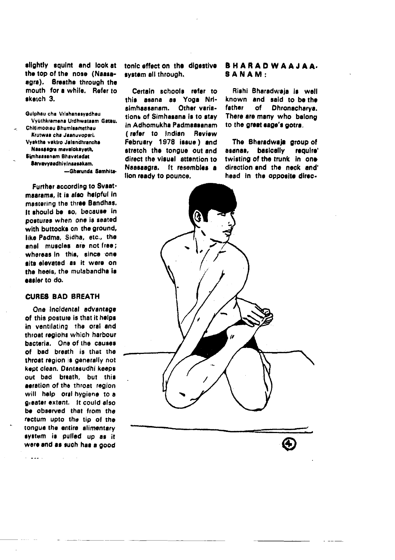slightly squint and look at the top of the nose (Naasaagra). Breathe through the mouth for a while. Refer to skatch 3.

Guiphau cha Vrishanasvadhau Vvüthkramena Urdhwataam Gatau. Chitimograu Ahumisamethau Krutwaa cha Jaanuvoosri. Vvaktha vaktro Jalandhrancha Naasaagra mavalokayeth, Simbassanam Bhavatadat Sarvavvaadhivinaasakam. -Gherunda Samhita-

Further according to Svaatmaarama, it is also helpful in mastering the three Bandhas. It should be so, because in postures when one is seated with buttocks on the ground, like Padma, Sidha, etc., the anal muscles are not free; whereas in this, since one sits elevated as it were on the heels, the mulabandha is essier to do.

## **CURES BAD BREATH**

One incidental advantage of this posture is that it helps in ventilating the oral and throat regions which harbour bacteria. One of the causes of bad breath is that the throat region is generally not kept clean, Dantasudhi keeps out bad breath, but this aeration of the throat region will help oral hygiene to a gieater extent. It could also be observed that from the rectum upto the tip of the tongue the entire alimentary system is pulled up as it were and as such has a good

والمعاملات

tonic effect on the digestive system all through.

Certain schools refer to this asana as Yoga Nrisimhaasanam. Other variations of Simhasana is to stay in Adhomukha Padmaasanam (refer to Indian Review February 1978 issue) and stretch the tongue out and direct the visual attention to Nassasdra. It resembles a fion ready to pounce.

## **BHARADWAAJAA.** SANAM:

Rishi Bharadwaia is well known and said to be the **father** of. Dhranacharva. There are many who belong to the great sage's gotra.

The Bharadwaja group of asanas. basically require' twisting of the trunk in one direction and the neck and' head in the opposite direc-

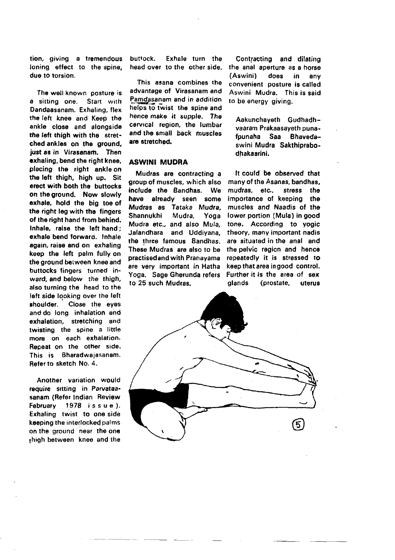tion, giving a tremendous loning effect to the spine, duo to torsion.

The well known posture is a sitting one. Start with Dandaasanam. Exhaling, flex the left knee and Keep the anklo closo and alongside the left thigh with the stretched ankles on the ground, just as in Virasanam. Then exhaling, bend the right knee. placing the right ankle'on tho left rhigh, high up. Sit erect with both the buttocks on the ground. Now slowly exhale. hold the big toe of the right leg with the fingers of the right hand from behind. Inhale, raise the left hand; exhale bend forward. Inhale again, raise and on exhaling keep the left palm fully on the ground between knee and buttocks fingers turned inward, and below the thigh, also turning the head to rhe left side looking over the left shoulder. Close the eyes and do long inhalation and exhalation, stretching and twisting the spine a little more on each exhalation. Repeat on the other side. This is Bharadwajasanam. Refer to skerch No. 4.

Another variation would require sitting in Parvataasanam (Refer Indian Review February 1978 issue). Exhaling twist to ong side keeping the interlocked palms on the ground near the one thigh botwoen knee and the buttock. Exhale turn the head over to the other side.

This asana combines the advantage of Virasanam and Pamdasanam and in addition helps to twist the spine and hence make it supple. The cervical region, the lumbar and the small back muscles are stretched.

## ASWINI MUDRA

Mudras are contracting a group of muscles, which also include the Bandhas. We have already seen some Mudras as Tataka Mudra, Shannukhi Mudra, Yoga Mudra etc., and also Mula, Jalandhara and Uddiyana. the three famous Bandhas, These Mudras are also to be practised and with Pranayama are very important in Hatha Yoga, Sage Gherunda refers to 25 such Mudras.

Contracting and dilating the anal aperture as a horse (Aswini) does in any convenient posture is called Aswini Mudra. This is said to be energy giving.

Aakunchayeth Gudhadhvaaram Prakaasayeth punafpunaha Saa Bhavedaswini Mudra Sakthiprabodhakaarini.

ft could b€ observed that many of the Asanas, bandhas, mudras, etc., stress the importance of keeping the muscles and Naadis of the lower portion (Mula) in good tone. According to yogic theory, manv important nadis are situated in the anal and the pelvic region and hence repeatedly it is stressed to keep that area in good control. Further it is the area of sex glands (prostate, uterus

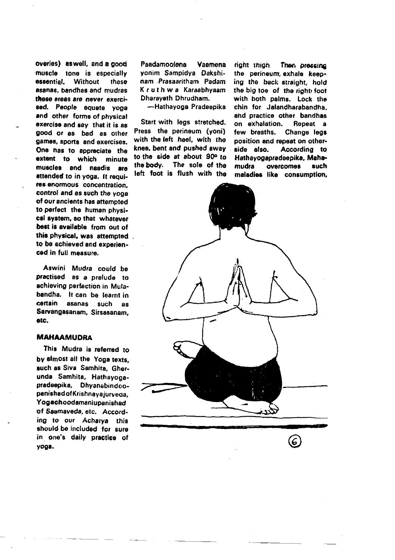overies) as well, and a good muscle tone is especially essential. Without these asanas, bandhas and mudras these areas are never exercised. People equate yoga and other forms of physical exercise and say that it is as good or as bad as other games, sports and exercises. One has to appreciate the extent to which minute muscles and naadis are attended to in voga. It requires enormous concentration. control and as such the yoga of our ancients has attempted to perfect the human physical system, so that whatever best is available from out of this physical, was attempted to be achieved and experienced in full measure.

Aswini Mudra could be practised as a prelude to achieving perfection in Mulabandha. It can be learnt in cartain asanas such **As** Sarvangasanam, Sirsasanam, ato.

#### **MAHAAMUDRA**

This Mudra is referred to by almost all the Yoga texts. such as Siva Samhita, Gherunda Samhita, Hathayogapradeepika, Dhyanabindoopanishad of Krishnayajurveda, Yogachoodamaniupanishad of Saamaveda, etc. According to our Acharva this should be included for sure in one's daily practice of voga.

Paadamoolene Vaamena vonim Sampidva Dakshinam Prasaaritham Padam Kruthwa Karaabhyaam Dharaveth Dhrudham.

-Hathavoga Pradeepika

Start with legs stretched. Press the perineum (yoni) with the left heel, with the knee, bent and pushed away to the side at about 90° to the body. The sole of the left foot is flush with the

right thigh Then pressing the perineum exhale keeping the back straight, hold the big toe of the right foot with both palms. Lock the chin for Jalandharabandha and practice other bandhas on exhalation. Repeat a few breaths. Change legs position and repeat on otherside also. Accordina to Hathavogapradaepika, Mahamudra **OVACCOMAS** such maladies like consumption,